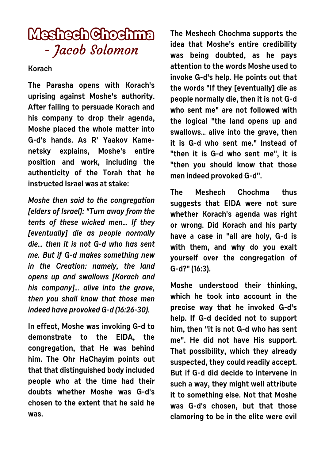## **Meshech Chochma** - Jacob Solomon

**Korach**

**The Parasha opens with Korach's uprising against Moshe's authority. After failing to persuade Korach and his company to drop their agenda, Moshe placed the whole matter into G-d's hands. As R' Yaakov Kamenetsky explains, Moshe's entire position and work, including the authenticity of the Torah that he instructed Israel was at stake:**

**Moshe then said to the congregation [elders of Israel]: "Turn away from the tents of these wicked men… If they [eventually] die as people normally die… then it is not G-d who has sent me. But if G-d makes something new in the Creation: namely, the land opens up and swallows [Korach and his company]… alive into the grave, then you shall know that those men indeed have provoked G-d (16:26-30).**

**In effect, Moshe was invoking G-d to demonstrate to the EIDA, the congregation, that He was behind him. The Ohr HaChayim points out that that distinguished body included people who at the time had their doubts whether Moshe was G-d's chosen to the extent that he said he was.** 

**The Meshech Chochma supports the idea that Moshe's entire credibility was being doubted, as he pays attention to the words Moshe used to invoke G-d's help. He points out that the words "If they [eventually] die as people normally die, then it is not G-d who sent me" are not followed with the logical "the land opens up and swallows… alive into the grave, then it is G-d who sent me." Instead of "then it is G-d who sent me", it is "then you should know that those men indeed provoked G-d".** 

**The Meshech Chochma thus suggests that EIDA were not sure whether Korach's agenda was right or wrong. Did Korach and his party have a case in "all are holy, G-d is with them, and why do you exalt yourself over the congregation of G-d?" (16:3).**

**Moshe understood their thinking, which he took into account in the precise way that he invoked G-d's help. If G-d decided not to support him, then "it is not G-d who has sent me". He did not have His support. That possibility, which they already suspected, they could readily accept. But if G-d did decide to intervene in such a way, they might well attribute it to something else. Not that Moshe was G-d's chosen, but that those clamoring to be in the elite were evil**